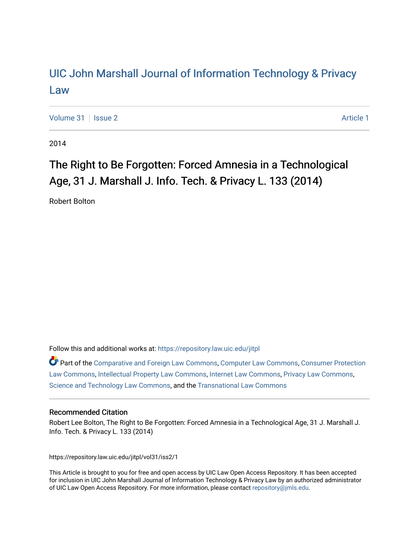## [UIC John Marshall Journal of Information Technology & Privacy](https://repository.law.uic.edu/jitpl)  [Law](https://repository.law.uic.edu/jitpl)

[Volume 31](https://repository.law.uic.edu/jitpl/vol31) | [Issue 2](https://repository.law.uic.edu/jitpl/vol31/iss2) Article 1

2014

# The Right to Be Forgotten: Forced Amnesia in a Technological Age, 31 J. Marshall J. Info. Tech. & Privacy L. 133 (2014)

Robert Bolton

Follow this and additional works at: [https://repository.law.uic.edu/jitpl](https://repository.law.uic.edu/jitpl?utm_source=repository.law.uic.edu%2Fjitpl%2Fvol31%2Fiss2%2F1&utm_medium=PDF&utm_campaign=PDFCoverPages) 

Part of the [Comparative and Foreign Law Commons,](http://network.bepress.com/hgg/discipline/836?utm_source=repository.law.uic.edu%2Fjitpl%2Fvol31%2Fiss2%2F1&utm_medium=PDF&utm_campaign=PDFCoverPages) [Computer Law Commons,](http://network.bepress.com/hgg/discipline/837?utm_source=repository.law.uic.edu%2Fjitpl%2Fvol31%2Fiss2%2F1&utm_medium=PDF&utm_campaign=PDFCoverPages) [Consumer Protection](http://network.bepress.com/hgg/discipline/838?utm_source=repository.law.uic.edu%2Fjitpl%2Fvol31%2Fiss2%2F1&utm_medium=PDF&utm_campaign=PDFCoverPages)  [Law Commons,](http://network.bepress.com/hgg/discipline/838?utm_source=repository.law.uic.edu%2Fjitpl%2Fvol31%2Fiss2%2F1&utm_medium=PDF&utm_campaign=PDFCoverPages) [Intellectual Property Law Commons,](http://network.bepress.com/hgg/discipline/896?utm_source=repository.law.uic.edu%2Fjitpl%2Fvol31%2Fiss2%2F1&utm_medium=PDF&utm_campaign=PDFCoverPages) [Internet Law Commons](http://network.bepress.com/hgg/discipline/892?utm_source=repository.law.uic.edu%2Fjitpl%2Fvol31%2Fiss2%2F1&utm_medium=PDF&utm_campaign=PDFCoverPages), [Privacy Law Commons](http://network.bepress.com/hgg/discipline/1234?utm_source=repository.law.uic.edu%2Fjitpl%2Fvol31%2Fiss2%2F1&utm_medium=PDF&utm_campaign=PDFCoverPages), [Science and Technology Law Commons](http://network.bepress.com/hgg/discipline/875?utm_source=repository.law.uic.edu%2Fjitpl%2Fvol31%2Fiss2%2F1&utm_medium=PDF&utm_campaign=PDFCoverPages), and the [Transnational Law Commons](http://network.bepress.com/hgg/discipline/1123?utm_source=repository.law.uic.edu%2Fjitpl%2Fvol31%2Fiss2%2F1&utm_medium=PDF&utm_campaign=PDFCoverPages)

### Recommended Citation

Robert Lee Bolton, The Right to Be Forgotten: Forced Amnesia in a Technological Age, 31 J. Marshall J. Info. Tech. & Privacy L. 133 (2014)

https://repository.law.uic.edu/jitpl/vol31/iss2/1

This Article is brought to you for free and open access by UIC Law Open Access Repository. It has been accepted for inclusion in UIC John Marshall Journal of Information Technology & Privacy Law by an authorized administrator of UIC Law Open Access Repository. For more information, please contact [repository@jmls.edu](mailto:repository@jmls.edu).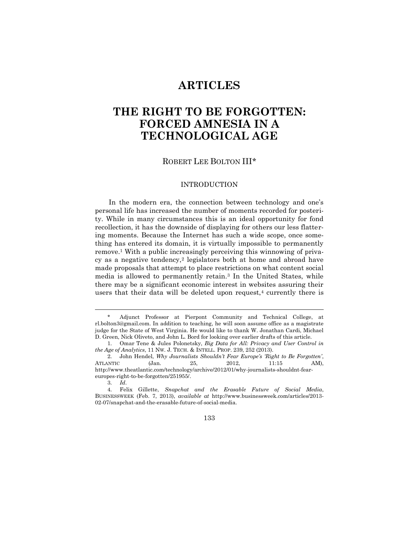### **ARTICLES**

## **THE RIGHT TO BE FORGOTTEN: FORCED AMNESIA IN A TECHNOLOGICAL AGE**

ROBERT LEE BOLTON III\*

#### INTRODUCTION

In the modern era, the connection between technology and one's personal life has increased the number of moments recorded for posterity. While in many circumstances this is an ideal opportunity for fond recollection, it has the downside of displaying for others our less flattering moments. Because the Internet has such a wide scope, once something has entered its domain, it is virtually impossible to permanently remove.<sup>1</sup> With a public increasingly perceiving this winnowing of privacy as a negative tendency,<sup>2</sup> legislators both at home and abroad have made proposals that attempt to place restrictions on what content social media is allowed to permanently retain.<sup>3</sup> In the United States, while there may be a significant economic interest in websites assuring their users that their data will be deleted upon request,<sup>4</sup> currently there is

3. *Id*.

 $\overline{a}$ 

133

<sup>\*</sup> Adjunct Professor at Pierpont Community and Technical College, at rl.bolton3@gmail.com. In addition to teaching, he will soon assume office as a magistrate judge for the State of West Virginia. He would like to thank W. Jonathan Cardi, Michael D. Green, Nick Oliveto, and John L. Bord for looking over earlier drafts of this article.

<sup>1.</sup> Omar Tene & Jules Polonetsky, *Big Data for All: Privacy and User Control in the Age of Analytics*, 11 NW. J. TECH. & INTELL. PROP. 239, 252 (2013).

<sup>2.</sup> John Hendel, *Why Journalists Shouldn't Fear Europe's 'Right to Be Forgotten'*, ATLANTIC (Jan. 25, 2012, 11:15 AM), http://www.theatlantic.com/technology/archive/2012/01/why-journalists-shouldnt-feareuropes-right-to-be-forgotten/251955/.

<sup>4.</sup> Felix Gillette, *Snapchat and the Erasable Future of Social Media*, BUSINESSWEEK (Feb. 7, 2013), *available at* http://www.businessweek.com/articles/2013- 02-07/snapchat-and-the-erasable-future-of-social-media.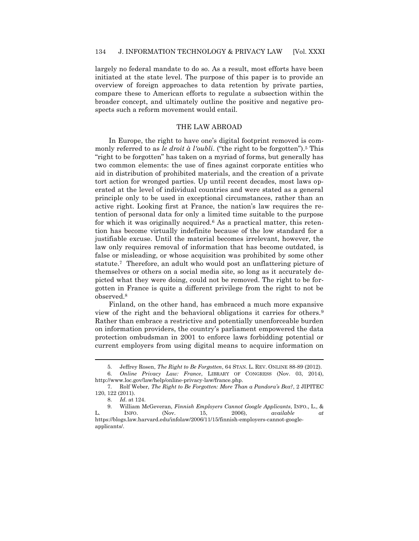largely no federal mandate to do so. As a result, most efforts have been initiated at the state level. The purpose of this paper is to provide an overview of foreign approaches to data retention by private parties, compare these to American efforts to regulate a subsection within the broader concept, and ultimately outline the positive and negative prospects such a reform movement would entail.

#### THE LAW ABROAD

In Europe, the right to have one's digital footprint removed is commonly referred to as *le droit à l'oubli*. ("the right to be forgotten").<sup>5</sup> This "right to be forgotten" has taken on a myriad of forms, but generally has two common elements: the use of fines against corporate entities who aid in distribution of prohibited materials, and the creation of a private tort action for wronged parties. Up until recent decades, most laws operated at the level of individual countries and were stated as a general principle only to be used in exceptional circumstances, rather than an active right. Looking first at France, the nation's law requires the retention of personal data for only a limited time suitable to the purpose for which it was originally acquired.<sup>6</sup> As a practical matter, this retention has become virtually indefinite because of the low standard for a justifiable excuse. Until the material becomes irrelevant, however, the law only requires removal of information that has become outdated, is false or misleading, or whose acquisition was prohibited by some other statute.7 Therefore, an adult who would post an unflattering picture of themselves or others on a social media site, so long as it accurately depicted what they were doing, could not be removed. The right to be forgotten in France is quite a different privilege from the right to not be observed.<sup>8</sup>

Finland, on the other hand, has embraced a much more expansive view of the right and the behavioral obligations it carries for others.<sup>9</sup> Rather than embrace a restrictive and potentially unenforceable burden on information providers, the country's parliament empowered the data protection ombudsman in 2001 to enforce laws forbidding potential or current employers from using digital means to acquire information on

<sup>5.</sup> Jeffrey Rosen, *The Right to Be Forgotten*, 64 STAN. L. REV. ONLINE 88-89 (2012).

<sup>6.</sup> *Online Privacy Law: France*, LIBRARY OF CONGRESS (Nov. 03, 2014), http://www.loc.gov/law/help/online-privacy-law/france.php.

<sup>7.</sup> Rolf Weber, *The Right to Be Forgotten: More Than a Pandora's Box?*, 2 JIPITEC 120, 122 (2011).

<sup>8.</sup> *Id*. at 124.

<sup>9.</sup> William McGeveran, *Finnish Employers Cannot Google Applicants*, INFO., L., & L. INFO. (Nov. 15, 2006), *available at* https://blogs.law.harvard.edu/infolaw/2006/11/15/finnish-employers-cannot-googleapplicants/.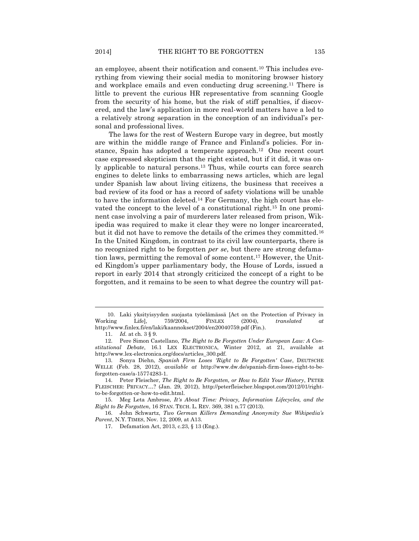an employee, absent their notification and consent.<sup>10</sup> This includes everything from viewing their social media to monitoring browser history and workplace emails and even conducting drug screening.<sup>11</sup> There is little to prevent the curious HR representative from scanning Google from the security of his home, but the risk of stiff penalties, if discovered, and the law's application in more real-world matters have a led to a relatively strong separation in the conception of an individual's personal and professional lives.

The laws for the rest of Western Europe vary in degree, but mostly are within the middle range of France and Finland's policies. For instance, Spain has adopted a temperate approach.12 One recent court case expressed skepticism that the right existed, but if it did, it was only applicable to natural persons.<sup>13</sup> Thus, while courts can force search engines to delete links to embarrassing news articles, which are legal under Spanish law about living citizens, the business that receives a bad review of its food or has a record of safety violations will be unable to have the information deleted.<sup>14</sup> For Germany, the high court has elevated the concept to the level of a constitutional right.<sup>15</sup> In one prominent case involving a pair of murderers later released from prison, Wikipedia was required to make it clear they were no longer incarcerated, but it did not have to remove the details of the crimes they committed.<sup>16</sup> In the United Kingdom, in contrast to its civil law counterparts, there is no recognized right to be forgotten *per se*, but there are strong defamation laws, permitting the removal of some content. <sup>17</sup> However, the United Kingdom's upper parliamentary body, the House of Lords, issued a report in early 2014 that strongly criticized the concept of a right to be forgotten, and it remains to be seen to what degree the country will pat-

<sup>10.</sup> Laki yksityisyyden suojasta työelämässä [Act on the Protection of Privacy in Working Life], 759/2004, FINLEX (2004), *translated at* http://www.finlex.fi/en/laki/kaannokset/2004/en20040759.pdf (Fin.).

<sup>11.</sup> *Id.* at ch. 3 § 9.

<sup>12.</sup> Pere Simon Castellano, *The Right to Be Forgotten Under European Law: A Constitutional Debate*, 16.1 LEX ELECTRONICA, Winter 2012, at 21, available at http://www.lex-electronica.org/docs/articles\_300.pdf.

<sup>13.</sup> Sonya Diehn, *Spanish Firm Loses 'Right to Be Forgotten' Case*, DEUTSCHE WELLE (Feb. 28, 2012), *available at* http://www.dw.de/spanish-firm-loses-right-to-beforgotten-case/a-15774283-1.

<sup>14.</sup> Peter Fleischer, *The Right to Be Forgotten, or How to Edit Your History*, PETER FLEISCHER: PRIVACY…? (Jan. 29, 2012), http://peterfleischer.blogspot.com/2012/01/rightto-be-forgotten-or-how-to-edit.html.

<sup>15.</sup> Meg Leta Ambrose, *It's About Time: Privacy, Information Lifecycles, and the Right to Be Forgotten*, 16 STAN. TECH. L. REV. 369, 381 n.77 (2013).

<sup>16.</sup> John Schwartz, *Two German Killers Demanding Anonymity Sue Wikipedia's Parent*, N.Y. TIMES, Nov. 12, 2009, at A13.

<sup>17.</sup> Defamation Act, 2013, c.23, § 13 (Eng.).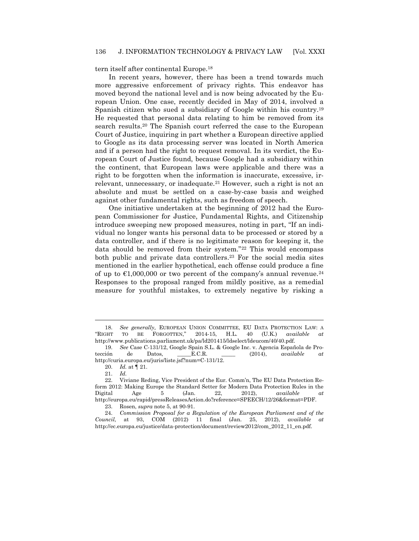tern itself after continental Europe.<sup>18</sup>

In recent years, however, there has been a trend towards much more aggressive enforcement of privacy rights. This endeavor has moved beyond the national level and is now being advocated by the European Union. One case, recently decided in May of 2014, involved a Spanish citizen who sued a subsidiary of Google within his country.<sup>19</sup> He requested that personal data relating to him be removed from its search results.<sup>20</sup> The Spanish court referred the case to the European Court of Justice, inquiring in part whether a European directive applied to Google as its data processing server was located in North America and if a person had the right to request removal. In its verdict, the European Court of Justice found, because Google had a subsidiary within the continent, that European laws were applicable and there was a right to be forgotten when the information is inaccurate, excessive, irrelevant, unnecessary, or inadequate.<sup>21</sup> However, such a right is not an absolute and must be settled on a case-by-case basis and weighed against other fundamental rights, such as freedom of speech.

One initiative undertaken at the beginning of 2012 had the European Commissioner for Justice, Fundamental Rights, and Citizenship introduce sweeping new proposed measures, noting in part, "If an individual no longer wants his personal data to be processed or stored by a data controller, and if there is no legitimate reason for keeping it, the data should be removed from their system."<sup>22</sup> This would encompass both public and private data controllers.<sup>23</sup> For the social media sites mentioned in the earlier hypothetical, each offense could produce a fine of up to  $\text{\textsterling}1,000,000$  or two percent of the company's annual revenue.<sup>24</sup> Responses to the proposal ranged from mildly positive, as a remedial measure for youthful mistakes, to extremely negative by risking a

<sup>18.</sup> *See generally,* EUROPEAN UNION COMMITTEE, EU DATA PROTECTION LAW: A "RIGHT TO BE FORGOTTEN," 2014-15, H.L. 40 (U.K.) *available at*  http://www.publications.parliament.uk/pa/ld201415/ldselect/ldeucom/40/40.pdf.

<sup>19.</sup> *See* Case C-131/12, Google Spain S.L. & Google Inc. v. Agencia Española de Protección de Datos, \_\_\_\_\_E.C.R. \_\_\_\_\_ (2014), *available at*  http://curia.europa.eu/juris/liste.jsf?num=C-131/12.

<sup>20.</sup> *Id.* at ¶ 21.

<sup>21.</sup> *Id.*

<sup>22.</sup> Viviane Reding, Vice President of the Eur. Comm'n, The EU Data Protection Reform 2012: Making Europe the Standard Setter for Modern Data Protection Rules in the Digital Age 5 (Jan. 22, 2012), *available at* http://europa.eu/rapid/pressReleasesAction.do?reference=SPEECH/12/26&format=PDF.

<sup>23.</sup> Rosen, *supra* note 5, at 90-91.

<sup>24.</sup> *Commission Proposal for a Regulation of the European Parliament and of the Council*, at 93, *COM* (2012) 11 final (Jan. 25, 2012), *available* http://ec.europa.eu/justice/data-protection/document/review2012/com\_2012\_11\_en.pdf.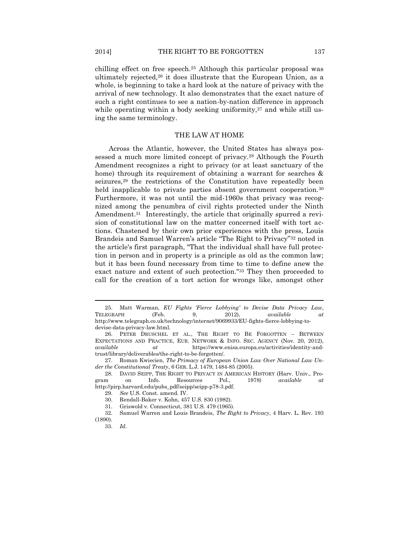chilling effect on free speech.<sup>25</sup> Although this particular proposal was ultimately rejected,<sup>26</sup> it does illustrate that the European Union, as a whole, is beginning to take a hard look at the nature of privacy with the arrival of new technology. It also demonstrates that the exact nature of such a right continues to see a nation-by-nation difference in approach while operating within a body seeking uniformity, $27$  and while still using the same terminology.

#### THE LAW AT HOME

Across the Atlantic, however, the United States has always possessed a much more limited concept of privacy.<sup>28</sup> Although the Fourth Amendment recognizes a right to privacy (or at least sanctuary of the home) through its requirement of obtaining a warrant for searches & seizures,<sup>29</sup> the restrictions of the Constitution have repeatedly been held inapplicable to private parties absent government cooperation.<sup>30</sup> Furthermore, it was not until the mid-1960s that privacy was recognized among the penumbra of civil rights protected under the Ninth Amendment.<sup>31</sup> Interestingly, the article that originally spurred a revision of constitutional law on the matter concerned itself with tort actions. Chastened by their own prior experiences with the press, Louis Brandeis and Samuel Warren's article "The Right to Privacy"<sup>32</sup> noted in the article's first paragraph, "That the individual shall have full protection in person and in property is a principle as old as the common law; but it has been found necessary from time to time to define anew the exact nature and extent of such protection."<sup>33</sup> They then proceeded to call for the creation of a tort action for wrongs like, amongst other

<sup>25.</sup> Matt Warman, *EU Fights 'Fierce Lobbying' to Devise Data Privacy Law*, TELEGRAPH (Feb. 9, 2012), *available at*  http://www.telegraph.co.uk/technology/internet/9069933/EU-fights-fierce-lobbying-todevise-data-privacy-law.html.

<sup>26.</sup> PETER DRUSCHEL ET AL., THE RIGHT TO BE FORGOTTEN – BETWEEN EXPECTATIONS AND PRACTICE, EUR. NETWORK & INFO. SEC. AGENCY (Nov. 20, 2012), *available at* https://www.enisa.europa.eu/activities/identity-andtrust/library/deliverables/the-right-to-be-forgotten/.

<sup>27.</sup> Roman Kwiecien, *The Primacy of European Union Law Over National Law Under the Constitutional Treaty*, 6 GER. L.J. 1479, 1484-85 (2005).

<sup>28.</sup> DAVID SEIPP, THE RIGHT TO PRIVACY IN AMERICAN HISTORY (Harv. Univ., Program on Info. Resources Pol., 1978) *available at*  http://pirp.harvard.edu/pubs\_pdf/seipp/seipp-p78-3.pdf.

<sup>29.</sup> *See* U.S. Const. amend. IV.

<sup>30.</sup> Rendall-Baker v. Kohn, 457 U.S. 830 (1982).

<sup>31.</sup> Griswold v. Connecticut, 381 U.S. 479 (1965).

<sup>32.</sup> Samuel Warren and Louis Brandeis, *The Right to Privacy*, 4 Harv. L. Rev. 193 (1890).

<sup>33.</sup> *Id*.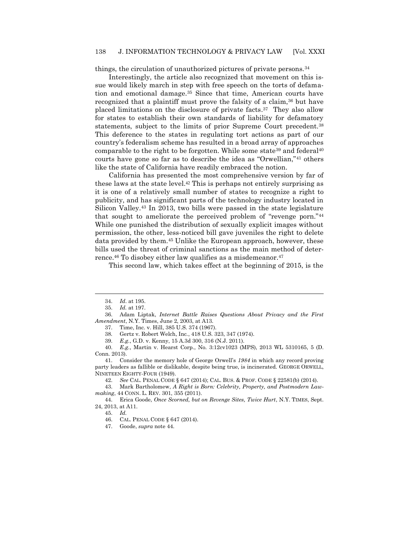#### 138 J. INFORMATION TECHNOLOGY & PRIVACY LAW [Vol. XXXI

things, the circulation of unauthorized pictures of private persons.<sup>34</sup>

Interestingly, the article also recognized that movement on this issue would likely march in step with free speech on the torts of defamation and emotional damage.<sup>35</sup> Since that time, American courts have recognized that a plaintiff must prove the falsity of a claim,<sup>36</sup> but have placed limitations on the disclosure of private facts. <sup>37</sup> They also allow for states to establish their own standards of liability for defamatory statements, subject to the limits of prior Supreme Court precedent.<sup>38</sup> This deference to the states in regulating tort actions as part of our country's federalism scheme has resulted in a broad array of approaches comparable to the right to be forgotten. While some state<sup>39</sup> and federal<sup>40</sup> courts have gone so far as to describe the idea as "Orwellian,"<sup>41</sup> others like the state of California have readily embraced the notion.

California has presented the most comprehensive version by far of these laws at the state level.<sup>42</sup> This is perhaps not entirely surprising as it is one of a relatively small number of states to recognize a right to publicity, and has significant parts of the technology industry located in Silicon Valley.<sup>43</sup> In 2013, two bills were passed in the state legislature that sought to ameliorate the perceived problem of "revenge porn."<sup>44</sup> While one punished the distribution of sexually explicit images without permission, the other, less-noticed bill gave juveniles the right to delete data provided by them.<sup>45</sup> Unlike the European approach, however, these bills used the threat of criminal sanctions as the main method of deterrence.<sup>46</sup> To disobey either law qualifies as a misdemeanor.<sup>47</sup>

This second law, which takes effect at the beginning of 2015, is the

 $\overline{a}$ 

37. Time, Inc. v. Hill, 385 U.S. 374 (1967).

39. *E.g.*, G.D. v. Kenny, 15 A.3d 300, 316 (N.J. 2011).

40. *E.g.*, Martin v. Hearst Corp*.*, No. 3:12cv1023 (MPS), 2013 WL 5310165, 5 (D. Conn. 2013).

41. Consider the memory hole of George Orwell's *1984* in which any record proving party leaders as fallible or dislikable, despite being true, is incinerated. GEORGE ORWELL, NINETEEN EIGHTY-FOUR (1949).

42. *See* CAL. PENAL CODE § 647 (2014); CAL. BUS. & PROF. CODE § 22581(b) (2014).

43. Mark Bartholomew, *A Right is Born: Celebrity, Property, and Postmodern Lawmaking*, 44 CONN. L. REV. 301, 355 (2011).

44. Erica Goode, *Once Scorned, but on Revenge Sites, Twice Hurt*, N.Y. TIMES, Sept. 24, 2013, at A11.

45. *Id.* 

46. CAL. PENAL CODE § 647 (2014).

47. Goode, *supra* note 44.

<sup>34.</sup> *Id*. at 195.

<sup>35.</sup> *Id.* at 197.

<sup>36.</sup> Adam Liptak, *Internet Battle Raises Questions About Privacy and the First Amendment*, N.Y. Times, June 2, 2003, at A13.

<sup>38</sup>*.* Gertz v. Robert Welch, Inc*.*, 418 U.S. 323, 347 (1974).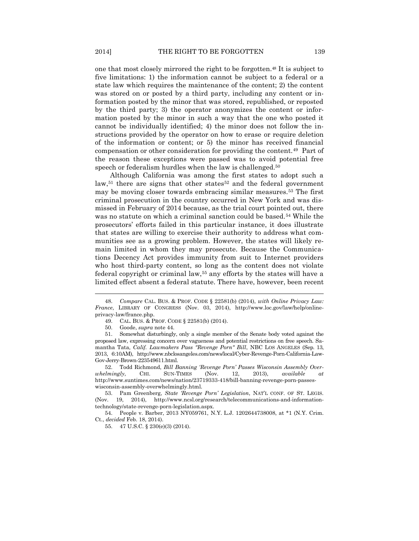one that most closely mirrored the right to be forgotten.<sup>48</sup> It is subject to five limitations: 1) the information cannot be subject to a federal or a state law which requires the maintenance of the content; 2) the content was stored on or posted by a third party, including any content or information posted by the minor that was stored, republished, or reposted by the third party; 3) the operator anonymizes the content or information posted by the minor in such a way that the one who posted it cannot be individually identified; 4) the minor does not follow the instructions provided by the operator on how to erase or require deletion of the information or content; or 5) the minor has received financial compensation or other consideration for providing the content.49 Part of the reason these exceptions were passed was to avoid potential free speech or federalism hurdles when the law is challenged.<sup>50</sup>

Although California was among the first states to adopt such a law,<sup>51</sup> there are signs that other states<sup>52</sup> and the federal government may be moving closer towards embracing similar measures.<sup>53</sup> The first criminal prosecution in the country occurred in New York and was dismissed in February of 2014 because, as the trial court pointed out, there was no statute on which a criminal sanction could be based.<sup>54</sup> While the prosecutors' efforts failed in this particular instance, it does illustrate that states are willing to exercise their authority to address what communities see as a growing problem. However, the states will likely remain limited in whom they may prosecute. Because the Communications Decency Act provides immunity from suit to Internet providers who host third-party content, so long as the content does not violate federal copyright or criminal law,<sup>55</sup> any efforts by the states will have a limited effect absent a federal statute. There have, however, been recent

 $\overline{a}$ 

52. Todd Richmond, *Bill Banning 'Revenge Porn' Passes Wisconsin Assembly Overwhelmingly*, CHI. SUN-TIMES (Nov. 12, 2013), *available at* http://www.suntimes.com/news/nation/23719333-418/bill-banning-revenge-porn-passeswisconsin-assembly-overwhelmingly.html.

54. People v. Barber, 2013 NY059761, N.Y. L.J. 1202644738008, at \*1 (N.Y. Crim. Ct., *decided* Feb. 18, 2014).

55. 47 U.S.C. § 230(e)(3) (2014).

<sup>48.</sup> *Compare* CAL. BUS. & PROF. CODE § 22581(b) (2014), *with Online Privacy Law: France*, LIBRARY OF CONGRESS (Nov. 03, 2014), http://www.loc.gov/law/help/onlineprivacy-law/france.php.

<sup>49.</sup> CAL. BUS. & PROF. CODE § 22581(b) (2014).

<sup>50.</sup> Goode, *supra* note 44.

<sup>51.</sup> Somewhat disturbingly, only a single member of the Senate body voted against the proposed law, expressing concern over vagueness and potential restrictions on free speech. Samantha Tata, *Calif. Lawmakers Pass "Revenge Porn" Bill*, NBC LOS ANGELES (Sep. 13, 2013, 6:10AM), http://www.nbclosangeles.com/news/local/Cyber-Revenge-Porn-California-Law-Gov-Jerry-Brown-223549611.html.

<sup>53.</sup> Pam Greenberg, *State 'Revenge Porn' Legislation*, NAT'L CONF. OF ST. LEGIS. (Nov. 19, 2014), http://www.ncsl.org/research/telecommunications-and-informationtechnology/state-revenge-porn-legislation.aspx.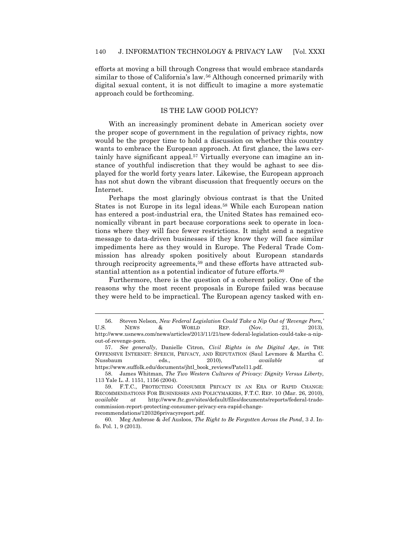efforts at moving a bill through Congress that would embrace standards similar to those of California's law.<sup>56</sup> Although concerned primarily with digital sexual content, it is not difficult to imagine a more systematic approach could be forthcoming.

#### IS THE LAW GOOD POLICY?

With an increasingly prominent debate in American society over the proper scope of government in the regulation of privacy rights, now would be the proper time to hold a discussion on whether this country wants to embrace the European approach. At first glance, the laws certainly have significant appeal.<sup>57</sup> Virtually everyone can imagine an instance of youthful indiscretion that they would be aghast to see displayed for the world forty years later. Likewise, the European approach has not shut down the vibrant discussion that frequently occurs on the Internet.

Perhaps the most glaringly obvious contrast is that the United States is not Europe in its legal ideas.<sup>58</sup> While each European nation has entered a post-industrial era, the United States has remained economically vibrant in part because corporations seek to operate in locations where they will face fewer restrictions. It might send a negative message to data-driven businesses if they know they will face similar impediments here as they would in Europe. The Federal Trade Commission has already spoken positively about European standards through reciprocity agreements,<sup>59</sup> and these efforts have attracted substantial attention as a potential indicator of future efforts.<sup>60</sup>

Furthermore, there is the question of a coherent policy. One of the reasons why the most recent proposals in Europe failed was because they were held to be impractical. The European agency tasked with en-

<sup>56.</sup> Steven Nelson, *New Federal Legislation Could Take a Nip Out of 'Revenge Porn,'* U.S. NEWS & WORLD REP. (Nov. 21, 2013), http://www.usnews.com/news/articles/2013/11/21/new-federal-legislation-could-take-a-nipout-of-revenge-porn.

<sup>57.</sup> *See generally*, Danielle Citron, *Civil Rights in the Digital Age*, *in* THE OFFENSIVE INTERNET: SPEECH, PRIVACY, AND REPUTATION (Saul Levmore & Martha C. Nussbaum eds., 2010), *available at*  https://www.suffolk.edu/documents/jhtl\_book\_reviews/Patel11.pdf.

<sup>58.</sup> James Whitman, *The Two Western Cultures of Privacy: Dignity Versus Liberty*, 113 Yale L. J. 1151, 1156 (2004).

<sup>59.</sup> F.T.C., PROTECTING CONSUMER PRIVACY IN AN ERA OF RAPID CHANGE: RECOMMENDATIONS FOR BUSINESSES AND POLICYMAKERS, F.T.C. REP. 10 (Mar. 26, 2010), *available at* http://www.ftc.gov/sites/default/files/documents/reports/federal-tradecommission-report-protecting-consumer-privacy-era-rapid-change-

recommendations/120326privacyreport.pdf.

<sup>60.</sup> Meg Ambrose & Jef Ausloos, *The Right to Be Forgotten Across the Pond*, 3 J. Info. Pol. 1, 9 (2013).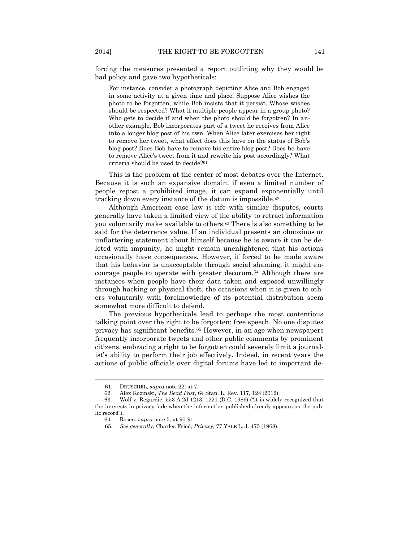forcing the measures presented a report outlining why they would be bad policy and gave two hypotheticals:

For instance, consider a photograph depicting Alice and Bob engaged in some activity at a given time and place. Suppose Alice wishes the photo to be forgotten, while Bob insists that it persist. Whose wishes should be respected? What if multiple people appear in a group photo? Who gets to decide if and when the photo should be forgotten? In another example, Bob incorporates part of a tweet he receives from Alice into a longer blog post of his own. When Alice later exercises her right to remove her tweet, what effect does this have on the status of Bob's blog post? Does Bob have to remove his entire blog post? Does he have to remove Alice's tweet from it and rewrite his post accordingly? What criteria should be used to decide?<sup>61</sup>

This is the problem at the center of most debates over the Internet. Because it is such an expansive domain, if even a limited number of people repost a prohibited image, it can expand exponentially until tracking down every instance of the datum is impossible.<sup>62</sup>

Although American case law is rife with similar disputes, courts generally have taken a limited view of the ability to retract information you voluntarily make available to others.<sup>63</sup> There is also something to be said for the deterrence value. If an individual presents an obnoxious or unflattering statement about himself because he is aware it can be deleted with impunity, he might remain unenlightened that his actions occasionally have consequences. However, if forced to be made aware that his behavior is unacceptable through social shaming, it might encourage people to operate with greater decorum.<sup>64</sup> Although there are instances when people have their data taken and exposed unwillingly through hacking or physical theft, the occasions when it is given to others voluntarily with foreknowledge of its potential distribution seem somewhat more difficult to defend.

The previous hypotheticals lead to perhaps the most contentious talking point over the right to be forgotten: free speech. No one disputes privacy has significant benefits.<sup>65</sup> However, in an age when newspapers frequently incorporate tweets and other public comments by prominent citizens, embracing a right to be forgotten could severely limit a journalist's ability to perform their job effectively. Indeed, in recent years the actions of public officials over digital forums have led to important de-

<sup>61.</sup> DRUSCHEL, *supra* note 22, at 7*.*

<sup>62.</sup> Alex Kozinski, *The Dead Past*, 64 Stan. L. Rev. 117, 124 (2012).

<sup>63.</sup> Wolf v. Regardie, 553 A.2d 1213, 1221 (D.C. 1989) ("it is widely recognized that the interests in privacy fade when the information published already appears on the public record").

<sup>64.</sup> Rosen, *supra* note 5, at 90-91.

<sup>65.</sup> *See generally*, Charles Fried, *Privacy*, 77 YALE L. J. 475 (1968).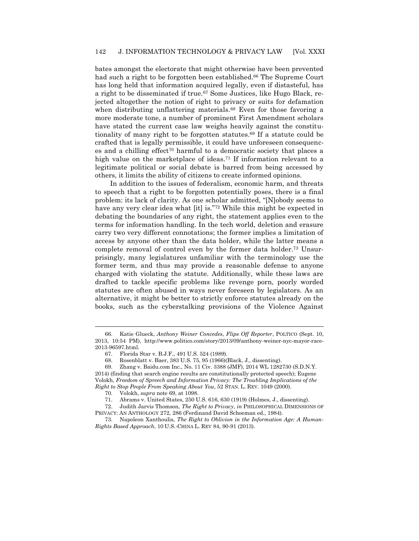bates amongst the electorate that might otherwise have been prevented had such a right to be forgotten been established. <sup>66</sup> The Supreme Court has long held that information acquired legally, even if distasteful, has a right to be disseminated if true.<sup>67</sup> Some Justices, like Hugo Black, rejected altogether the notion of right to privacy or suits for defamation when distributing unflattering materials.<sup>68</sup> Even for those favoring a more moderate tone, a number of prominent First Amendment scholars have stated the current case law weighs heavily against the constitutionality of many right to be forgotten statutes.<sup>69</sup> If a statute could be crafted that is legally permissible, it could have unforeseen consequences and a chilling effect<sup>70</sup> harmful to a democratic society that places a high value on the marketplace of ideas.<sup>71</sup> If information relevant to a legitimate political or social debate is barred from being accessed by others, it limits the ability of citizens to create informed opinions.

In addition to the issues of federalism, economic harm, and threats to speech that a right to be forgotten potentially poses, there is a final problem: its lack of clarity. As one scholar admitted, "[N]obody seems to have any very clear idea what [it] is."<sup>72</sup> While this might be expected in debating the boundaries of any right, the statement applies even to the terms for information handling. In the tech world, deletion and erasure carry two very different connotations; the former implies a limitation of access by anyone other than the data holder, while the latter means a complete removal of control even by the former data holder.<sup>73</sup> Unsurprisingly, many legislatures unfamiliar with the terminology use the former term, and thus may provide a reasonable defense to anyone charged with violating the statute. Additionally, while these laws are drafted to tackle specific problems like revenge porn, poorly worded statutes are often abused in ways never foreseen by legislators. As an alternative, it might be better to strictly enforce statutes already on the books, such as the cyberstalking provisions of the Violence Against

<sup>66.</sup> Katie Glueck, *Anthony Weiner Concedes, Flips Off Reporter*, POLTICO (Sept. 10, 2013, 10:54 PM), http://www.politico.com/story/2013/09/anthony-weiner-nyc-mayor-race-2013-96597.html.

<sup>67.</sup> Florida Star v. B.J.F*.*, 491 U.S. 524 (1989).

<sup>68.</sup> Rosenblatt v. Baer, 383 U.S. 75, 95 (1966)(Black, J., dissenting).

<sup>69.</sup> Zhang v. Baidu.com Inc., No. 11 Civ. 3388 (JMF), 2014 WL 1282730 (S.D.N.Y. 2014) (finding that search engine results are constitutionally protected speech); Eugene Volokh, *Freedom of Spreech and Information Privacy: The Troubling Implications of the Right to Stop People From Speaking About You*, 52 STAN. L. REV. 1049 (2000).

<sup>70.</sup> Volokh, *supra* note 69, at 1098.

<sup>71.</sup> Abrams v. United States, 250 U.S. 616, 630 (1919) (Holmes, J., dissenting).

<sup>72.</sup> Judith Jarvis Thomson, *The Right to Privacy*, *in* PHILOSOPHICAL DIMENSIONS OF PRIVACY: AN ANTHOLOGY 272, 286 (Ferdinand David Schoeman ed., 1984).

<sup>73.</sup> Napoleon Xanthoulis, *The Right to Oblivion in the Information Age: A Human-Rights Based Approach*, 10 U.S.-CHINA L. REV 84, 90-91 (2013).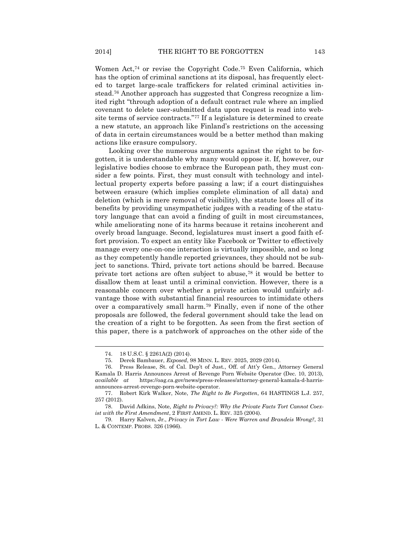Women Act,<sup>74</sup> or revise the Copyright Code.<sup>75</sup> Even California, which has the option of criminal sanctions at its disposal, has frequently elected to target large-scale traffickers for related criminal activities instead. <sup>76</sup> Another approach has suggested that Congress recognize a limited right "through adoption of a default contract rule where an implied covenant to delete user-submitted data upon request is read into website terms of service contracts."<sup>77</sup> If a legislature is determined to create a new statute, an approach like Finland's restrictions on the accessing of data in certain circumstances would be a better method than making actions like erasure compulsory.

Looking over the numerous arguments against the right to be forgotten, it is understandable why many would oppose it. If, however, our legislative bodies choose to embrace the European path, they must consider a few points. First, they must consult with technology and intellectual property experts before passing a law; if a court distinguishes between erasure (which implies complete elimination of all data) and deletion (which is mere removal of visibility), the statute loses all of its benefits by providing unsympathetic judges with a reading of the statutory language that can avoid a finding of guilt in most circumstances, while ameliorating none of its harms because it retains incoherent and overly broad language. Second, legislatures must insert a good faith effort provision. To expect an entity like Facebook or Twitter to effectively manage every one-on-one interaction is virtually impossible, and so long as they competently handle reported grievances, they should not be subject to sanctions. Third, private tort actions should be barred. Because private tort actions are often subject to abuse,<sup>78</sup> it would be better to disallow them at least until a criminal conviction. However, there is a reasonable concern over whether a private action would unfairly advantage those with substantial financial resources to intimidate others over a comparatively small harm.<sup>79</sup> Finally, even if none of the other proposals are followed, the federal government should take the lead on the creation of a right to be forgotten. As seen from the first section of this paper, there is a patchwork of approaches on the other side of the

<sup>74.</sup> 18 U.S.C. § 2261A(2) (2014).

<sup>75.</sup> Derek Bambauer, *Exposed*, 98 MINN. L. REV. 2025, 2029 (2014).

<sup>76.</sup> Press Release, St. of Cal. Dep't of Just., Off. of Att'y Gen., Attorney General Kamala D. Harris Announces Arrest of Revenge Porn Website Operator (Dec. 10, 2013), *available at* https://oag.ca.gov/news/press-releases/attorney-general-kamala-d-harrisannounces-arrest-revenge-porn-website-operator.

<sup>77.</sup> Robert Kirk Walker, Note, *The Right to Be Forgotten*, 64 HASTINGS L.J. 257, 257 (2012).

<sup>78.</sup> David Adkins, Note*, Right to Privacy?: Why the Private Facts Tort Cannot Coexist with the First Amendment*, 2 FIRST AMEND. L. REV. 325 (2004).

<sup>79.</sup> Harry Kalven, Jr., *Privacy in Tort Law - Were Warren and Brandeis Wrong?*, 31 L. & CONTEMP. PROBS. 326 (1966).